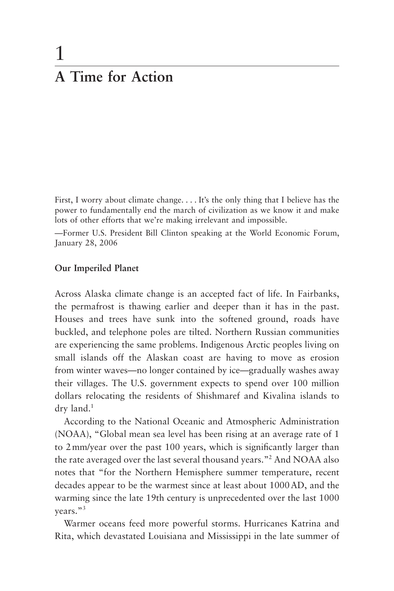# **A Time for Action**

1

First, I worry about climate change. . . . It's the only thing that I believe has the power to fundamentally end the march of civilization as we know it and make lots of other efforts that we're making irrelevant and impossible.

—Former U.S. President Bill Clinton speaking at the World Economic Forum, January 28, 2006

### **Our Imperiled Planet**

Across Alaska climate change is an accepted fact of life. In Fairbanks, the permafrost is thawing earlier and deeper than it has in the past. Houses and trees have sunk into the softened ground, roads have buckled, and telephone poles are tilted. Northern Russian communities are experiencing the same problems. Indigenous Arctic peoples living on small islands off the Alaskan coast are having to move as erosion from winter waves—no longer contained by ice—gradually washes away their villages. The U.S. government expects to spend over 100 million dollars relocating the residents of Shishmaref and Kivalina islands to dry land.<sup>1</sup>

According to the National Oceanic and Atmospheric Administration (NOAA), "Global mean sea level has been rising at an average rate of 1 to 2mm/year over the past 100 years, which is significantly larger than the rate averaged over the last several thousand years."2 And NOAA also notes that "for the Northern Hemisphere summer temperature, recent decades appear to be the warmest since at least about 1000AD, and the warming since the late 19th century is unprecedented over the last 1000 years."3

Warmer oceans feed more powerful storms. Hurricanes Katrina and Rita, which devastated Louisiana and Mississippi in the late summer of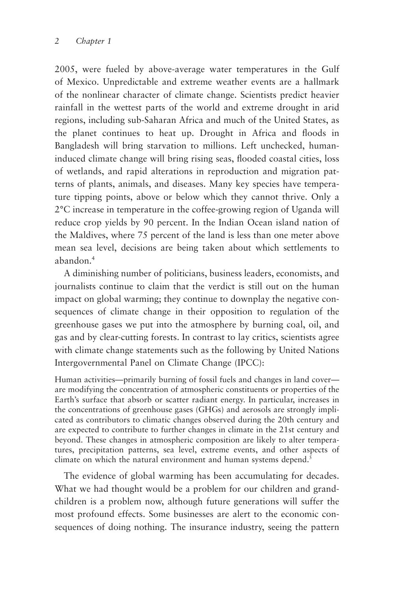2005, were fueled by above-average water temperatures in the Gulf of Mexico. Unpredictable and extreme weather events are a hallmark of the nonlinear character of climate change. Scientists predict heavier rainfall in the wettest parts of the world and extreme drought in arid regions, including sub-Saharan Africa and much of the United States, as the planet continues to heat up. Drought in Africa and floods in Bangladesh will bring starvation to millions. Left unchecked, humaninduced climate change will bring rising seas, flooded coastal cities, loss of wetlands, and rapid alterations in reproduction and migration patterns of plants, animals, and diseases. Many key species have temperature tipping points, above or below which they cannot thrive. Only a 2°C increase in temperature in the coffee-growing region of Uganda will reduce crop yields by 90 percent. In the Indian Ocean island nation of the Maldives, where 75 percent of the land is less than one meter above mean sea level, decisions are being taken about which settlements to abandon.4

A diminishing number of politicians, business leaders, economists, and journalists continue to claim that the verdict is still out on the human impact on global warming; they continue to downplay the negative consequences of climate change in their opposition to regulation of the greenhouse gases we put into the atmosphere by burning coal, oil, and gas and by clear-cutting forests. In contrast to lay critics, scientists agree with climate change statements such as the following by United Nations Intergovernmental Panel on Climate Change (IPCC):

Human activities—primarily burning of fossil fuels and changes in land cover are modifying the concentration of atmospheric constituents or properties of the Earth's surface that absorb or scatter radiant energy. In particular, increases in the concentrations of greenhouse gases (GHGs) and aerosols are strongly implicated as contributors to climatic changes observed during the 20th century and are expected to contribute to further changes in climate in the 21st century and beyond. These changes in atmospheric composition are likely to alter temperatures, precipitation patterns, sea level, extreme events, and other aspects of climate on which the natural environment and human systems depend.<sup>5</sup>

The evidence of global warming has been accumulating for decades. What we had thought would be a problem for our children and grandchildren is a problem now, although future generations will suffer the most profound effects. Some businesses are alert to the economic consequences of doing nothing. The insurance industry, seeing the pattern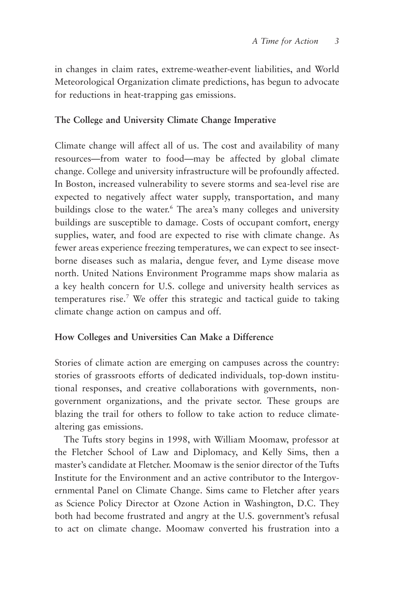in changes in claim rates, extreme-weather-event liabilities, and World Meteorological Organization climate predictions, has begun to advocate for reductions in heat-trapping gas emissions.

## **The College and University Climate Change Imperative**

Climate change will affect all of us. The cost and availability of many resources—from water to food—may be affected by global climate change. College and university infrastructure will be profoundly affected. In Boston, increased vulnerability to severe storms and sea-level rise are expected to negatively affect water supply, transportation, and many buildings close to the water.<sup>6</sup> The area's many colleges and university buildings are susceptible to damage. Costs of occupant comfort, energy supplies, water, and food are expected to rise with climate change. As fewer areas experience freezing temperatures, we can expect to see insectborne diseases such as malaria, dengue fever, and Lyme disease move north. United Nations Environment Programme maps show malaria as a key health concern for U.S. college and university health services as temperatures rise.<sup>7</sup> We offer this strategic and tactical guide to taking climate change action on campus and off.

## **How Colleges and Universities Can Make a Difference**

Stories of climate action are emerging on campuses across the country: stories of grassroots efforts of dedicated individuals, top-down institutional responses, and creative collaborations with governments, nongovernment organizations, and the private sector. These groups are blazing the trail for others to follow to take action to reduce climatealtering gas emissions.

The Tufts story begins in 1998, with William Moomaw, professor at the Fletcher School of Law and Diplomacy, and Kelly Sims, then a master's candidate at Fletcher. Moomaw is the senior director of the Tufts Institute for the Environment and an active contributor to the Intergovernmental Panel on Climate Change. Sims came to Fletcher after years as Science Policy Director at Ozone Action in Washington, D.C. They both had become frustrated and angry at the U.S. government's refusal to act on climate change. Moomaw converted his frustration into a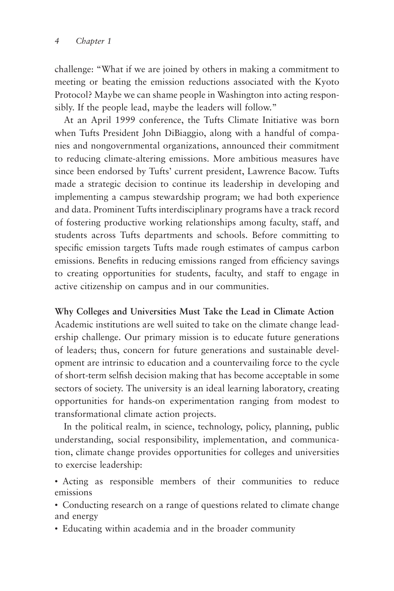challenge: "What if we are joined by others in making a commitment to meeting or beating the emission reductions associated with the Kyoto Protocol? Maybe we can shame people in Washington into acting responsibly. If the people lead, maybe the leaders will follow."

At an April 1999 conference, the Tufts Climate Initiative was born when Tufts President John DiBiaggio, along with a handful of companies and nongovernmental organizations, announced their commitment to reducing climate-altering emissions. More ambitious measures have since been endorsed by Tufts' current president, Lawrence Bacow. Tufts made a strategic decision to continue its leadership in developing and implementing a campus stewardship program; we had both experience and data. Prominent Tufts interdisciplinary programs have a track record of fostering productive working relationships among faculty, staff, and students across Tufts departments and schools. Before committing to specific emission targets Tufts made rough estimates of campus carbon emissions. Benefits in reducing emissions ranged from efficiency savings to creating opportunities for students, faculty, and staff to engage in active citizenship on campus and in our communities.

#### **Why Colleges and Universities Must Take the Lead in Climate Action**

Academic institutions are well suited to take on the climate change leadership challenge. Our primary mission is to educate future generations of leaders; thus, concern for future generations and sustainable development are intrinsic to education and a countervailing force to the cycle of short-term selfish decision making that has become acceptable in some sectors of society. The university is an ideal learning laboratory, creating opportunities for hands-on experimentation ranging from modest to transformational climate action projects.

In the political realm, in science, technology, policy, planning, public understanding, social responsibility, implementation, and communication, climate change provides opportunities for colleges and universities to exercise leadership:

• Acting as responsible members of their communities to reduce emissions

• Conducting research on a range of questions related to climate change and energy

• Educating within academia and in the broader community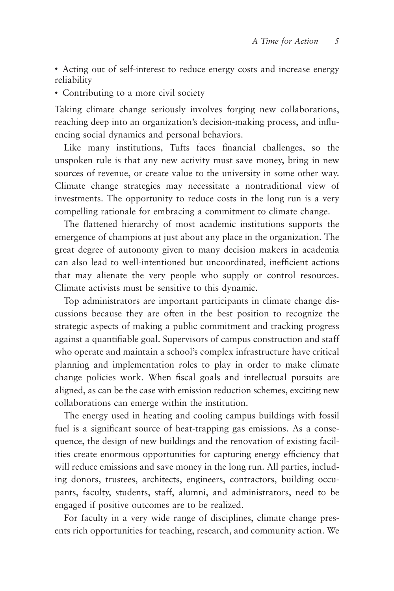• Acting out of self-interest to reduce energy costs and increase energy reliability

• Contributing to a more civil society

Taking climate change seriously involves forging new collaborations, reaching deep into an organization's decision-making process, and influencing social dynamics and personal behaviors.

Like many institutions, Tufts faces financial challenges, so the unspoken rule is that any new activity must save money, bring in new sources of revenue, or create value to the university in some other way. Climate change strategies may necessitate a nontraditional view of investments. The opportunity to reduce costs in the long run is a very compelling rationale for embracing a commitment to climate change.

The flattened hierarchy of most academic institutions supports the emergence of champions at just about any place in the organization. The great degree of autonomy given to many decision makers in academia can also lead to well-intentioned but uncoordinated, inefficient actions that may alienate the very people who supply or control resources. Climate activists must be sensitive to this dynamic.

Top administrators are important participants in climate change discussions because they are often in the best position to recognize the strategic aspects of making a public commitment and tracking progress against a quantifiable goal. Supervisors of campus construction and staff who operate and maintain a school's complex infrastructure have critical planning and implementation roles to play in order to make climate change policies work. When fiscal goals and intellectual pursuits are aligned, as can be the case with emission reduction schemes, exciting new collaborations can emerge within the institution.

The energy used in heating and cooling campus buildings with fossil fuel is a significant source of heat-trapping gas emissions. As a consequence, the design of new buildings and the renovation of existing facilities create enormous opportunities for capturing energy efficiency that will reduce emissions and save money in the long run. All parties, including donors, trustees, architects, engineers, contractors, building occupants, faculty, students, staff, alumni, and administrators, need to be engaged if positive outcomes are to be realized.

For faculty in a very wide range of disciplines, climate change presents rich opportunities for teaching, research, and community action. We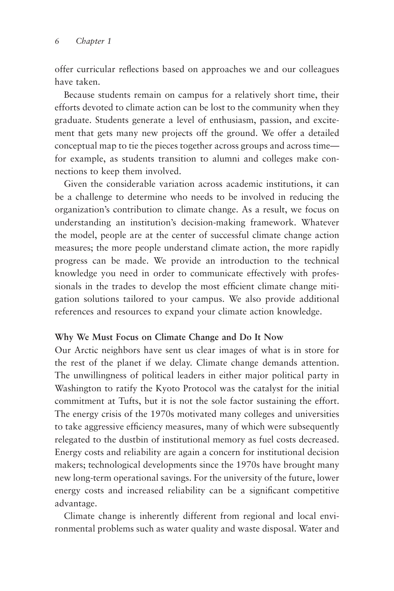offer curricular reflections based on approaches we and our colleagues have taken.

Because students remain on campus for a relatively short time, their efforts devoted to climate action can be lost to the community when they graduate. Students generate a level of enthusiasm, passion, and excitement that gets many new projects off the ground. We offer a detailed conceptual map to tie the pieces together across groups and across time for example, as students transition to alumni and colleges make connections to keep them involved.

Given the considerable variation across academic institutions, it can be a challenge to determine who needs to be involved in reducing the organization's contribution to climate change. As a result, we focus on understanding an institution's decision-making framework. Whatever the model, people are at the center of successful climate change action measures; the more people understand climate action, the more rapidly progress can be made. We provide an introduction to the technical knowledge you need in order to communicate effectively with professionals in the trades to develop the most efficient climate change mitigation solutions tailored to your campus. We also provide additional references and resources to expand your climate action knowledge.

#### **Why We Must Focus on Climate Change and Do It Now**

Our Arctic neighbors have sent us clear images of what is in store for the rest of the planet if we delay. Climate change demands attention. The unwillingness of political leaders in either major political party in Washington to ratify the Kyoto Protocol was the catalyst for the initial commitment at Tufts, but it is not the sole factor sustaining the effort. The energy crisis of the 1970s motivated many colleges and universities to take aggressive efficiency measures, many of which were subsequently relegated to the dustbin of institutional memory as fuel costs decreased. Energy costs and reliability are again a concern for institutional decision makers; technological developments since the 1970s have brought many new long-term operational savings. For the university of the future, lower energy costs and increased reliability can be a significant competitive advantage.

Climate change is inherently different from regional and local environmental problems such as water quality and waste disposal. Water and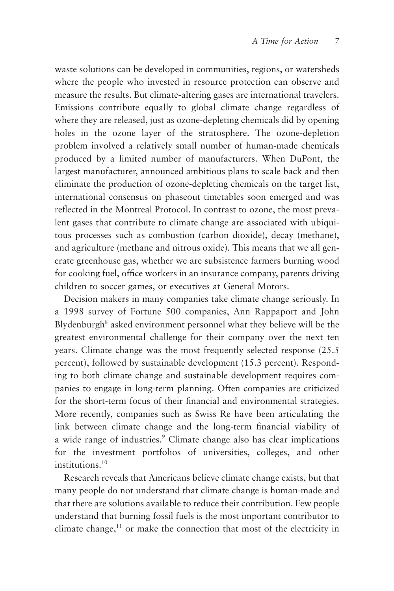waste solutions can be developed in communities, regions, or watersheds where the people who invested in resource protection can observe and measure the results. But climate-altering gases are international travelers. Emissions contribute equally to global climate change regardless of where they are released, just as ozone-depleting chemicals did by opening holes in the ozone layer of the stratosphere. The ozone-depletion problem involved a relatively small number of human-made chemicals produced by a limited number of manufacturers. When DuPont, the largest manufacturer, announced ambitious plans to scale back and then eliminate the production of ozone-depleting chemicals on the target list, international consensus on phaseout timetables soon emerged and was reflected in the Montreal Protocol. In contrast to ozone, the most prevalent gases that contribute to climate change are associated with ubiquitous processes such as combustion (carbon dioxide), decay (methane), and agriculture (methane and nitrous oxide). This means that we all generate greenhouse gas, whether we are subsistence farmers burning wood for cooking fuel, office workers in an insurance company, parents driving children to soccer games, or executives at General Motors.

Decision makers in many companies take climate change seriously. In a 1998 survey of Fortune 500 companies, Ann Rappaport and John Blydenburgh $\delta$  asked environment personnel what they believe will be the greatest environmental challenge for their company over the next ten years. Climate change was the most frequently selected response (25.5 percent), followed by sustainable development (15.3 percent). Responding to both climate change and sustainable development requires companies to engage in long-term planning. Often companies are criticized for the short-term focus of their financial and environmental strategies. More recently, companies such as Swiss Re have been articulating the link between climate change and the long-term financial viability of a wide range of industries.<sup>9</sup> Climate change also has clear implications for the investment portfolios of universities, colleges, and other institutions.10

Research reveals that Americans believe climate change exists, but that many people do not understand that climate change is human-made and that there are solutions available to reduce their contribution. Few people understand that burning fossil fuels is the most important contributor to climate change, $11$  or make the connection that most of the electricity in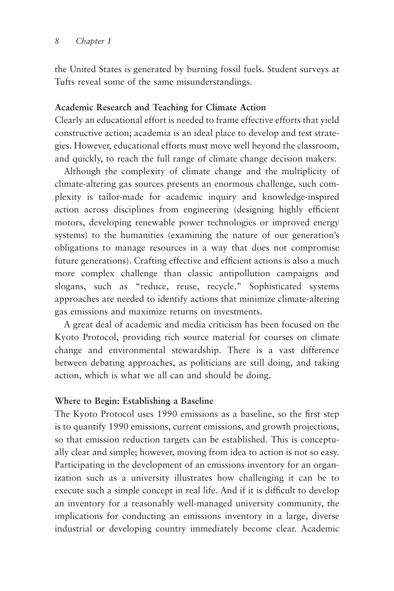the United States is generated by burning fossil fuels. Student surveys at Tufts reveal some of the same misunderstandings.

## **Academic Research and Teaching for Climate Action**

Clearly an educational effort is needed to frame effective efforts that yield constructive action; academia is an ideal place to develop and test strategies. However, educational efforts must move well beyond the classroom, and quickly, to reach the full range of climate change decision makers.

Although the complexity of climate change and the multiplicity of climate-altering gas sources presents an enormous challenge, such complexity is tailor-made for academic inquiry and knowledge-inspired action across disciplines from engineering (designing highly efficient motors, developing renewable power technologies or improved energy systems) to the humanities (examining the nature of our generation's obligations to manage resources in a way that does not compromise future generations). Crafting effective and efficient actions is also a much more complex challenge than classic antipollution campaigns and slogans, such as "reduce, reuse, recycle." Sophisticated systems approaches are needed to identify actions that minimize climate-altering gas emissions and maximize returns on investments.

A great deal of academic and media criticism has been focused on the Kyoto Protocol, providing rich source material for courses on climate change and environmental stewardship. There is a vast difference between debating approaches, as politicians are still doing, and taking action, which is what we all can and should be doing.

#### **Where to Begin: Establishing a Baseline**

The Kyoto Protocol uses 1990 emissions as a baseline, so the first step is to quantify 1990 emissions, current emissions, and growth projections, so that emission reduction targets can be established. This is conceptually clear and simple; however, moving from idea to action is not so easy. Participating in the development of an emissions inventory for an organization such as a university illustrates how challenging it can be to execute such a simple concept in real life. And if it is difficult to develop an inventory for a reasonably well-managed university community, the implications for conducting an emissions inventory in a large, diverse industrial or developing country immediately become clear. Academic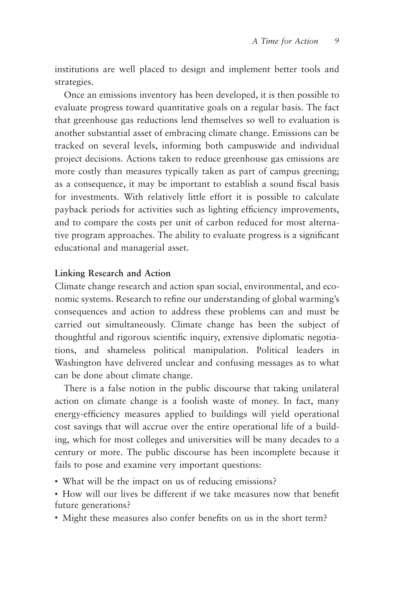institutions are well placed to design and implement better tools and strategies.

Once an emissions inventory has been developed, it is then possible to evaluate progress toward quantitative goals on a regular basis. The fact that greenhouse gas reductions lend themselves so well to evaluation is another substantial asset of embracing climate change. Emissions can be tracked on several levels, informing both campuswide and individual project decisions. Actions taken to reduce greenhouse gas emissions are more costly than measures typically taken as part of campus greening; as a consequence, it may be important to establish a sound fiscal basis for investments. With relatively little effort it is possible to calculate payback periods for activities such as lighting efficiency improvements, and to compare the costs per unit of carbon reduced for most alternative program approaches. The ability to evaluate progress is a significant educational and managerial asset.

### **Linking Research and Action**

Climate change research and action span social, environmental, and economic systems. Research to refine our understanding of global warming's consequences and action to address these problems can and must be carried out simultaneously. Climate change has been the subject of thoughtful and rigorous scientific inquiry, extensive diplomatic negotiations, and shameless political manipulation. Political leaders in Washington have delivered unclear and confusing messages as to what can be done about climate change.

There is a false notion in the public discourse that taking unilateral action on climate change is a foolish waste of money. In fact, many energy-efficiency measures applied to buildings will yield operational cost savings that will accrue over the entire operational life of a building, which for most colleges and universities will be many decades to a century or more. The public discourse has been incomplete because it fails to pose and examine very important questions:

- What will be the impact on us of reducing emissions?
- How will our lives be different if we take measures now that benefit future generations?
- Might these measures also confer benefits on us in the short term?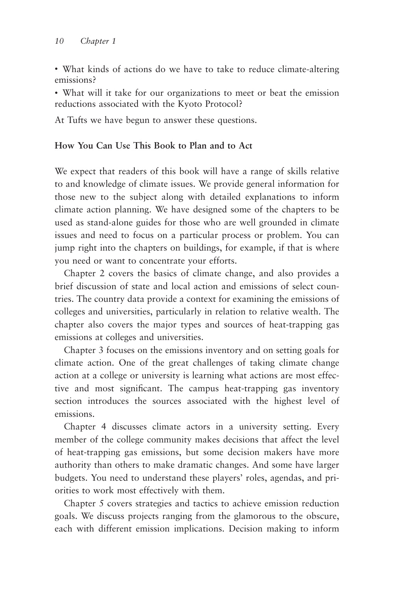• What kinds of actions do we have to take to reduce climate-altering emissions?

• What will it take for our organizations to meet or beat the emission reductions associated with the Kyoto Protocol?

At Tufts we have begun to answer these questions.

## **How You Can Use This Book to Plan and to Act**

We expect that readers of this book will have a range of skills relative to and knowledge of climate issues. We provide general information for those new to the subject along with detailed explanations to inform climate action planning. We have designed some of the chapters to be used as stand-alone guides for those who are well grounded in climate issues and need to focus on a particular process or problem. You can jump right into the chapters on buildings, for example, if that is where you need or want to concentrate your efforts.

Chapter 2 covers the basics of climate change, and also provides a brief discussion of state and local action and emissions of select countries. The country data provide a context for examining the emissions of colleges and universities, particularly in relation to relative wealth. The chapter also covers the major types and sources of heat-trapping gas emissions at colleges and universities.

Chapter 3 focuses on the emissions inventory and on setting goals for climate action. One of the great challenges of taking climate change action at a college or university is learning what actions are most effective and most significant. The campus heat-trapping gas inventory section introduces the sources associated with the highest level of emissions.

Chapter 4 discusses climate actors in a university setting. Every member of the college community makes decisions that affect the level of heat-trapping gas emissions, but some decision makers have more authority than others to make dramatic changes. And some have larger budgets. You need to understand these players' roles, agendas, and priorities to work most effectively with them.

Chapter 5 covers strategies and tactics to achieve emission reduction goals. We discuss projects ranging from the glamorous to the obscure, each with different emission implications. Decision making to inform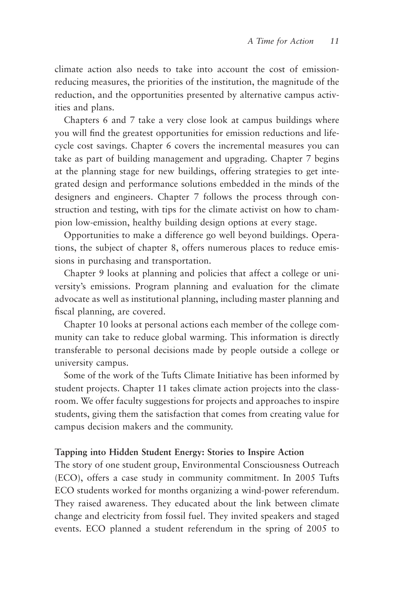climate action also needs to take into account the cost of emissionreducing measures, the priorities of the institution, the magnitude of the reduction, and the opportunities presented by alternative campus activities and plans.

Chapters 6 and 7 take a very close look at campus buildings where you will find the greatest opportunities for emission reductions and lifecycle cost savings. Chapter 6 covers the incremental measures you can take as part of building management and upgrading. Chapter 7 begins at the planning stage for new buildings, offering strategies to get integrated design and performance solutions embedded in the minds of the designers and engineers. Chapter 7 follows the process through construction and testing, with tips for the climate activist on how to champion low-emission, healthy building design options at every stage.

Opportunities to make a difference go well beyond buildings. Operations, the subject of chapter 8, offers numerous places to reduce emissions in purchasing and transportation.

Chapter 9 looks at planning and policies that affect a college or university's emissions. Program planning and evaluation for the climate advocate as well as institutional planning, including master planning and fiscal planning, are covered.

Chapter 10 looks at personal actions each member of the college community can take to reduce global warming. This information is directly transferable to personal decisions made by people outside a college or university campus.

Some of the work of the Tufts Climate Initiative has been informed by student projects. Chapter 11 takes climate action projects into the classroom. We offer faculty suggestions for projects and approaches to inspire students, giving them the satisfaction that comes from creating value for campus decision makers and the community.

## **Tapping into Hidden Student Energy: Stories to Inspire Action**

The story of one student group, Environmental Consciousness Outreach (ECO), offers a case study in community commitment. In 2005 Tufts ECO students worked for months organizing a wind-power referendum. They raised awareness. They educated about the link between climate change and electricity from fossil fuel. They invited speakers and staged events. ECO planned a student referendum in the spring of 2005 to